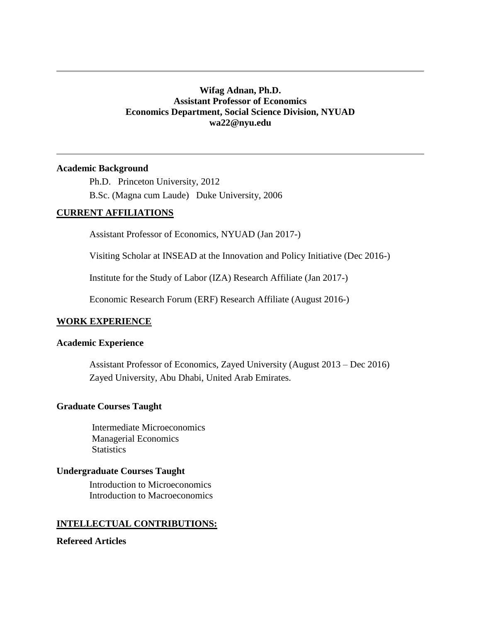# **Wifag Adnan, Ph.D. Assistant Professor of Economics Economics Department, Social Science Division, NYUAD wa22@nyu.edu**

### **Academic Background**

Ph.D. Princeton University, 2012 B.Sc. (Magna cum Laude) Duke University, 2006

# **CURRENT AFFILIATIONS**

Assistant Professor of Economics, NYUAD (Jan 2017-)

Visiting Scholar at INSEAD at the Innovation and Policy Initiative (Dec 2016-)

Institute for the Study of Labor (IZA) Research Affiliate (Jan 2017-)

Economic Research Forum (ERF) Research Affiliate (August 2016-)

#### **WORK EXPERIENCE**

### **Academic Experience**

Assistant Professor of Economics, Zayed University (August 2013 – Dec 2016) Zayed University, Abu Dhabi, United Arab Emirates.

#### **Graduate Courses Taught**

 Intermediate Microeconomics Managerial Economics **Statistics** 

### **Undergraduate Courses Taught**

Introduction to Microeconomics Introduction to Macroeconomics

### **INTELLECTUAL CONTRIBUTIONS:**

## **Refereed Articles**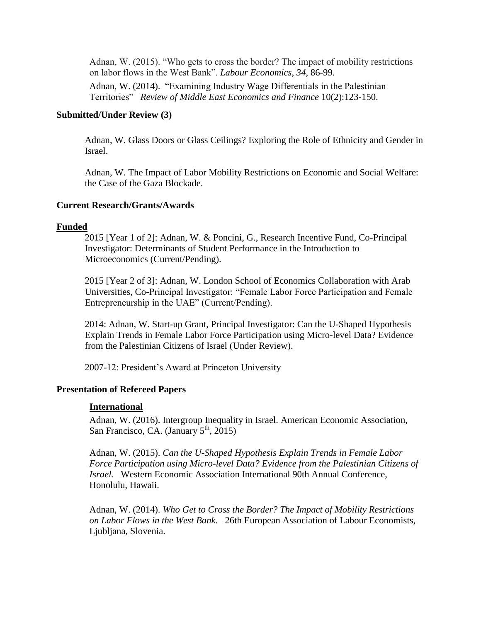Adnan, W. (2015). "Who gets to cross the border? The impact of mobility restrictions on labor flows in the West Bank". *Labour Economics*, *34*, 86-99.

Adnan, W. (2014). "Examining Industry Wage Differentials in the Palestinian Territories" *Review of Middle East Economics and Finance* 10(2):123-150.

## **Submitted/Under Review (3)**

Adnan, W. Glass Doors or Glass Ceilings? Exploring the Role of Ethnicity and Gender in Israel.

Adnan, W. The Impact of Labor Mobility Restrictions on Economic and Social Welfare: the Case of the Gaza Blockade.

## **Current Research/Grants/Awards**

## **Funded**

2015 [Year 1 of 2]: Adnan, W. & Poncini, G., Research Incentive Fund, Co-Principal Investigator: Determinants of Student Performance in the Introduction to Microeconomics (Current/Pending).

2015 [Year 2 of 3]: Adnan, W. London School of Economics Collaboration with Arab Universities, Co-Principal Investigator: "Female Labor Force Participation and Female Entrepreneurship in the UAE" (Current/Pending).

2014: Adnan, W. Start-up Grant, Principal Investigator: Can the U-Shaped Hypothesis Explain Trends in Female Labor Force Participation using Micro-level Data? Evidence from the Palestinian Citizens of Israel (Under Review).

2007-12: President's Award at Princeton University

# **Presentation of Refereed Papers**

### **International**

Adnan, W. (2016). Intergroup Inequality in Israel. American Economic Association, San Francisco, CA. (January  $5<sup>th</sup>$ , 2015)

Adnan, W. (2015). *Can the U-Shaped Hypothesis Explain Trends in Female Labor Force Participation using Micro-level Data? Evidence from the Palestinian Citizens of Israel.* Western Economic Association International 90th Annual Conference, Honolulu, Hawaii.

Adnan, W. (2014). *Who Get to Cross the Border? The Impact of Mobility Restrictions on Labor Flows in the West Bank.* 26th European Association of Labour Economists, Ljubljana, Slovenia.